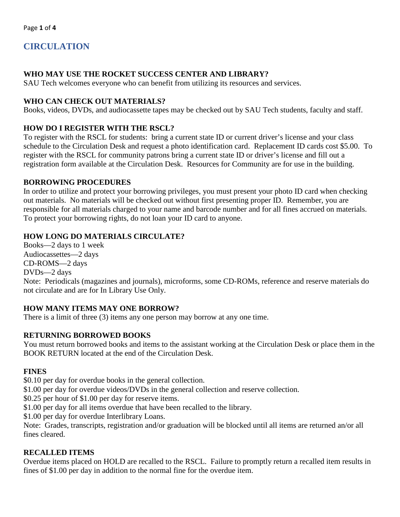# **CIRCULATION**

### **WHO MAY USE THE ROCKET SUCCESS CENTER AND LIBRARY?**

SAU Tech welcomes everyone who can benefit from utilizing its resources and services.

### **WHO CAN CHECK OUT MATERIALS?**

Books, videos, DVDs, and audiocassette tapes may be checked out by SAU Tech students, faculty and staff.

### **HOW DO I REGISTER WITH THE RSCL?**

To register with the RSCL for students: bring a current state ID or current driver's license and your class schedule to the Circulation Desk and request a photo identification card. Replacement ID cards cost \$5.00. To register with the RSCL for community patrons bring a current state ID or driver's license and fill out a registration form available at the Circulation Desk. Resources for Community are for use in the building.

### **BORROWING PROCEDURES**

In order to utilize and protect your borrowing privileges, you must present your photo ID card when checking out materials. No materials will be checked out without first presenting proper ID. Remember, you are responsible for all materials charged to your name and barcode number and for all fines accrued on materials. To protect your borrowing rights, do not loan your ID card to anyone.

### **HOW LONG DO MATERIALS CIRCULATE?**

Books—2 days to 1 week Audiocassettes—2 days CD-ROMS—2 days DVDs—2 days Note: Periodicals (magazines and journals), microforms, some CD-ROMs, reference and reserve materials do not circulate and are for In Library Use Only.

### **HOW MANY ITEMS MAY ONE BORROW?**

There is a limit of three (3) items any one person may borrow at any one time.

### **RETURNING BORROWED BOOKS**

You must return borrowed books and items to the assistant working at the Circulation Desk or place them in the BOOK RETURN located at the end of the Circulation Desk.

### **FINES**

\$0.10 per day for overdue books in the general collection.

\$1.00 per day for overdue videos/DVDs in the general collection and reserve collection.

\$0.25 per hour of \$1.00 per day for reserve items.

\$1.00 per day for all items overdue that have been recalled to the library.

\$1.00 per day for overdue Interlibrary Loans.

Note: Grades, transcripts, registration and/or graduation will be blocked until all items are returned an/or all fines cleared.

### **RECALLED ITEMS**

Overdue items placed on HOLD are recalled to the RSCL. Failure to promptly return a recalled item results in fines of \$1.00 per day in addition to the normal fine for the overdue item.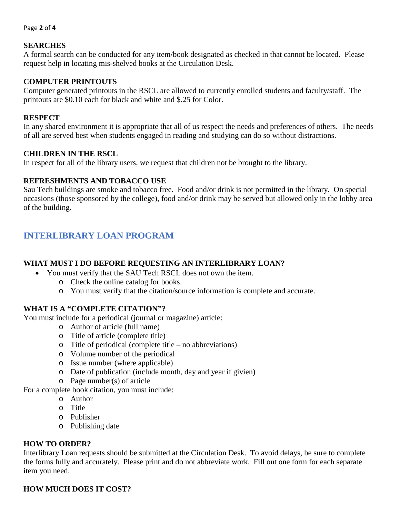#### Page **2** of **4**

#### **SEARCHES**

A formal search can be conducted for any item/book designated as checked in that cannot be located. Please request help in locating mis-shelved books at the Circulation Desk.

#### **COMPUTER PRINTOUTS**

Computer generated printouts in the RSCL are allowed to currently enrolled students and faculty/staff. The printouts are \$0.10 each for black and white and \$.25 for Color.

#### **RESPECT**

In any shared environment it is appropriate that all of us respect the needs and preferences of others. The needs of all are served best when students engaged in reading and studying can do so without distractions.

#### **CHILDREN IN THE RSCL**

In respect for all of the library users, we request that children not be brought to the library.

#### **REFRESHMENTS AND TOBACCO USE**

Sau Tech buildings are smoke and tobacco free. Food and/or drink is not permitted in the library. On special occasions (those sponsored by the college), food and/or drink may be served but allowed only in the lobby area of the building.

## **INTERLIBRARY LOAN PROGRAM**

#### **WHAT MUST I DO BEFORE REQUESTING AN INTERLIBRARY LOAN?**

- You must verify that the SAU Tech RSCL does not own the item.
	- o Check the online catalog for books.
	- o You must verify that the citation/source information is complete and accurate.

#### **WHAT IS A "COMPLETE CITATION"?**

You must include for a periodical (journal or magazine) article:

- o Author of article (full name)
- o Title of article (complete title)
- o Title of periodical (complete title no abbreviations)
- o Volume number of the periodical
- o Issue number (where applicable)
- o Date of publication (include month, day and year if givien)
- o Page number(s) of article

For a complete book citation, you must include:

- o Author
- o Title
- o Publisher
- o Publishing date

#### **HOW TO ORDER?**

Interlibrary Loan requests should be submitted at the Circulation Desk. To avoid delays, be sure to complete the forms fully and accurately. Please print and do not abbreviate work. Fill out one form for each separate item you need.

### **HOW MUCH DOES IT COST?**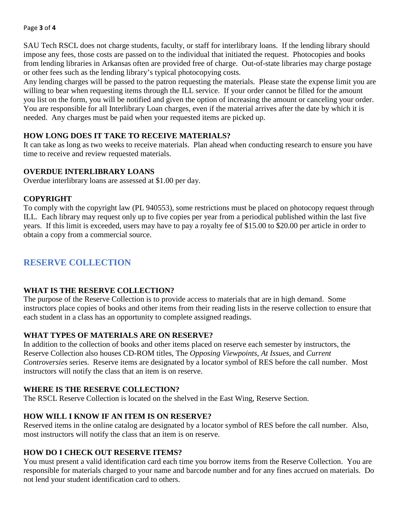#### Page **3** of **4**

SAU Tech RSCL does not charge students, faculty, or staff for interlibrary loans. If the lending library should impose any fees, those costs are passed on to the individual that initiated the request. Photocopies and books from lending libraries in Arkansas often are provided free of charge. Out-of-state libraries may charge postage or other fees such as the lending library's typical photocopying costs.

Any lending charges will be passed to the patron requesting the materials. Please state the expense limit you are willing to bear when requesting items through the ILL service. If your order cannot be filled for the amount you list on the form, you will be notified and given the option of increasing the amount or canceling your order. You are responsible for all Interlibrary Loan charges, even if the material arrives after the date by which it is needed. Any charges must be paid when your requested items are picked up.

### **HOW LONG DOES IT TAKE TO RECEIVE MATERIALS?**

It can take as long as two weeks to receive materials. Plan ahead when conducting research to ensure you have time to receive and review requested materials.

### **OVERDUE INTERLIBRARY LOANS**

Overdue interlibrary loans are assessed at \$1.00 per day.

### **COPYRIGHT**

To comply with the copyright law (PL 940553), some restrictions must be placed on photocopy request through ILL. Each library may request only up to five copies per year from a periodical published within the last five years. If this limit is exceeded, users may have to pay a royalty fee of \$15.00 to \$20.00 per article in order to obtain a copy from a commercial source.

## **RESERVE COLLECTION**

### **WHAT IS THE RESERVE COLLECTION?**

The purpose of the Reserve Collection is to provide access to materials that are in high demand. Some instructors place copies of books and other items from their reading lists in the reserve collection to ensure that each student in a class has an opportunity to complete assigned readings.

### **WHAT TYPES OF MATERIALS ARE ON RESERVE?**

In addition to the collection of books and other items placed on reserve each semester by instructors, the Reserve Collection also houses CD-ROM titles, The *Opposing Viewpoints, At Issues,* and *Current Controversies* series. Reserve items are designated by a locator symbol of RES before the call number. Most instructors will notify the class that an item is on reserve.

### **WHERE IS THE RESERVE COLLECTION?**

The RSCL Reserve Collection is located on the shelved in the East Wing, Reserve Section.

### **HOW WILL I KNOW IF AN ITEM IS ON RESERVE?**

Reserved items in the online catalog are designated by a locator symbol of RES before the call number. Also, most instructors will notify the class that an item is on reserve.

### **HOW DO I CHECK OUT RESERVE ITEMS?**

You must present a valid identification card each time you borrow items from the Reserve Collection. You are responsible for materials charged to your name and barcode number and for any fines accrued on materials. Do not lend your student identification card to others.